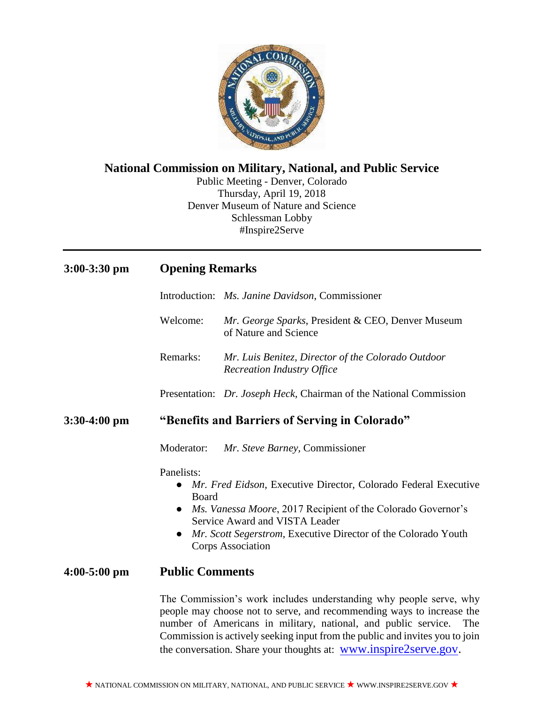

# **National Commission on Military, National, and Public Service**

Public Meeting - Denver, Colorado Thursday, April 19, 2018 Denver Museum of Nature and Science Schlessman Lobby #Inspire2Serve

| $3:00-3:30$ pm | <b>Opening Remarks</b>                                                                                                                                                                                                                                                                                                                                                   |
|----------------|--------------------------------------------------------------------------------------------------------------------------------------------------------------------------------------------------------------------------------------------------------------------------------------------------------------------------------------------------------------------------|
|                | Introduction: Ms. Janine Davidson, Commissioner                                                                                                                                                                                                                                                                                                                          |
|                | Mr. George Sparks, President & CEO, Denver Museum<br>Welcome:<br>of Nature and Science                                                                                                                                                                                                                                                                                   |
|                | Remarks:<br>Mr. Luis Benitez, Director of the Colorado Outdoor<br><b>Recreation Industry Office</b>                                                                                                                                                                                                                                                                      |
|                | Presentation: Dr. Joseph Heck, Chairman of the National Commission                                                                                                                                                                                                                                                                                                       |
| $3:30-4:00$ pm | "Benefits and Barriers of Serving in Colorado"                                                                                                                                                                                                                                                                                                                           |
|                | Moderator:<br>Mr. Steve Barney, Commissioner                                                                                                                                                                                                                                                                                                                             |
|                | Panelists:<br>Mr. Fred Eidson, Executive Director, Colorado Federal Executive<br>Board<br>Ms. Vanessa Moore, 2017 Recipient of the Colorado Governor's<br>Service Award and VISTA Leader<br>Mr. Scott Segerstrom, Executive Director of the Colorado Youth<br>$\bullet$<br><b>Corps Association</b>                                                                      |
| $4:00-5:00$ pm | <b>Public Comments</b>                                                                                                                                                                                                                                                                                                                                                   |
|                | The Commission's work includes understanding why people serve, why<br>people may choose not to serve, and recommending ways to increase the<br>number of Americans in military, national, and public service.<br>The<br>Commission is actively seeking input from the public and invites you to join<br>the conversation. Share your thoughts at: www.inspire2serve.gov. |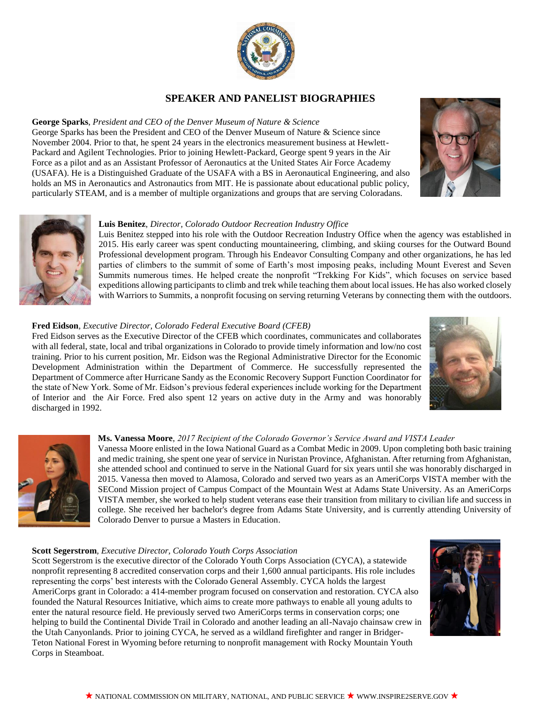

# **SPEAKER AND PANELIST BIOGRAPHIES**

## **George Sparks**, *President and CEO of the Denver Museum of Nature & Science*

George Sparks has been the President and CEO of the Denver Museum of Nature & Science since November 2004. Prior to that, he spent 24 years in the electronics measurement business at Hewlett-Packard and Agilent Technologies. Prior to joining Hewlett-Packard, George spent 9 years in the Air Force as a pilot and as an Assistant Professor of Aeronautics at the United States Air Force Academy (USAFA). He is a Distinguished Graduate of the USAFA with a BS in Aeronautical Engineering, and also holds an MS in Aeronautics and Astronautics from MIT. He is passionate about educational public policy, particularly STEAM, and is a member of multiple organizations and groups that are serving Coloradans.





### **Luis Benitez**, *Director, Colorado Outdoor Recreation Industry Office*

Luis Benitez stepped into his role with the Outdoor Recreation Industry Office when the agency was established in 2015. His early career was spent conducting mountaineering, climbing, and skiing courses for the Outward Bound Professional development program. Through his Endeavor Consulting Company and other organizations, he has led parties of climbers to the summit of some of Earth's most imposing peaks, including Mount Everest and Seven Summits numerous times. He helped create the nonprofit "Trekking For Kids", which focuses on service based expeditions allowing participants to climb and trek while teaching them about local issues. He has also worked closely with Warriors to Summits, a nonprofit focusing on serving returning Veterans by connecting them with the outdoors.

#### **Fred Eidson***, Executive Director, Colorado Federal Executive Board (CFEB)*

Fred Eidson serves as the Executive Director of the CFEB which coordinates, communicates and collaborates with all federal, state, local and tribal organizations in Colorado to provide timely information and low/no cost training. Prior to his current position, Mr. Eidson was the Regional Administrative Director for the Economic Development Administration within the Department of Commerce. He successfully represented the Department of Commerce after Hurricane Sandy as the Economic Recovery Support Function Coordinator for the state of New York. Some of Mr. Eidson's previous federal experiences include working for the Department of Interior and the Air Force. Fred also spent 12 years on active duty in the Army and was honorably discharged in 1992.





#### **Ms. Vanessa Moore**, *2017 Recipient of the Colorado Governor's Service Award and VISTA Leader*

Vanessa Moore enlisted in the Iowa National Guard as a Combat Medic in 2009. Upon completing both basic training and medic training, she spent one year of service in Nuristan Province, Afghanistan. After returning from Afghanistan, she attended school and continued to serve in the National Guard for six years until she was honorably discharged in 2015. Vanessa then moved to Alamosa, Colorado and served two years as an AmeriCorps VISTA member with the SECond Mission project of Campus Compact of the Mountain West at Adams State University. As an AmeriCorps VISTA member, she worked to help student veterans ease their transition from military to civilian life and success in college. She received her bachelor's degree from Adams State University, and is currently attending University of Colorado Denver to pursue a Masters in Education.

#### **Scott Segerstrom***, Executive Director, Colorado Youth Corps Association*

Scott Segerstrom is the executive director of the Colorado Youth Corps Association (CYCA), a statewide nonprofit representing 8 accredited conservation corps and their 1,600 annual participants. His role includes representing the corps' best interests with the Colorado General Assembly. CYCA holds the largest AmeriCorps grant in Colorado: a 414-member program focused on conservation and restoration. CYCA also founded the Natural Resources Initiative, which aims to create more pathways to enable all young adults to enter the natural resource field. He previously served two AmeriCorps terms in conservation corps; one helping to build the Continental Divide Trail in Colorado and another leading an all-Navajo chainsaw crew in the Utah Canyonlands. Prior to joining CYCA, he served as a wildland firefighter and ranger in Bridger-Teton National Forest in Wyoming before returning to nonprofit management with Rocky Mountain Youth Corps in Steamboat.

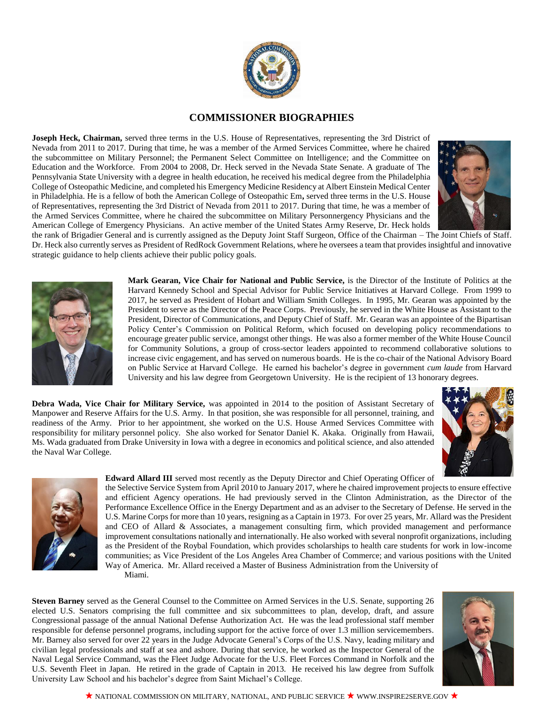

## **COMMISSIONER BIOGRAPHIES**

**Joseph Heck, Chairman,** served three terms in the U.S. House of Representatives, representing the 3rd District of Nevada from 2011 to 2017. During that time, he was a member of the Armed Services Committee, where he chaired the subcommittee on Military Personnel; the Permanent Select Committee on Intelligence; and the Committee on Education and the Workforce. From 2004 to 2008, Dr. Heck served in the Nevada State Senate. A graduate of The Pennsylvania State University with a degree in health education, he received his medical degree from the Philadelphia College of Osteopathic Medicine, and completed his Emergency Medicine Residency at Albert Einstein Medical Center in Philadelphia. He is a fellow of both the American College of Osteopathic Em**,** served three terms in the U.S. House of Representatives, representing the 3rd District of Nevada from 2011 to 2017. During that time, he was a member of the Armed Services Committee, where he chaired the subcommittee on Military Personnergency Physicians and the American College of Emergency Physicians. An active member of the United States Army Reserve, Dr. Heck holds



the rank of Brigadier General and is currently assigned as the Deputy Joint Staff Surgeon, Office of the Chairman – The Joint Chiefs of Staff. Dr. Heck also currently serves as President of RedRock Government Relations, where he oversees a team that provides insightful and innovative strategic guidance to help clients achieve their public policy goals.



**Mark Gearan, Vice Chair for National and Public Service,** is the Director of the Institute of Politics at the Harvard Kennedy School and Special Advisor for Public Service Initiatives at Harvard College. From 1999 to 2017, he served as President of Hobart and William Smith Colleges. In 1995, Mr. Gearan was appointed by the President to serve as the Director of the Peace Corps. Previously, he served in the White House as Assistant to the President, Director of Communications, and Deputy Chief of Staff. Mr. Gearan was an appointee of the Bipartisan Policy Center's Commission on Political Reform, which focused on developing policy recommendations to encourage greater public service, amongst other things. He was also a former member of the White House Council for Community Solutions, a group of cross-sector leaders appointed to recommend collaborative solutions to increase civic engagement, and has served on numerous boards. He is the co-chair of the National Advisory Board on Public Service at Harvard College. He earned his bachelor's degree in government *cum laude* from Harvard University and his law degree from Georgetown University. He is the recipient of 13 honorary degrees.

**Debra Wada, Vice Chair for Military Service,** was appointed in 2014 to the position of Assistant Secretary of Manpower and Reserve Affairs for the U.S. Army. In that position, she was responsible for all personnel, training, and readiness of the Army. Prior to her appointment, she worked on the U.S. House Armed Services Committee with responsibility for military personnel policy. She also worked for Senator Daniel K. Akaka. Originally from Hawaii, Ms. Wada graduated from Drake University in Iowa with a degree in economics and political science, and also attended the Naval War College.





**Edward Allard III** served most recently as the Deputy Director and Chief Operating Officer of the Selective Service System from April 2010 to January 2017, where he chaired improvement projects to ensure effective

and efficient Agency operations. He had previously served in the Clinton Administration, as the Director of the Performance Excellence Office in the Energy Department and as an adviser to the Secretary of Defense. He served in the U.S. Marine Corps for more than 10 years, resigning as a Captain in 1973. For over 25 years, Mr. Allard was the President and CEO of Allard & Associates, a management consulting firm, which provided management and performance improvement consultations nationally and internationally. He also worked with several nonprofit organizations, including as the President of the Roybal Foundation, which provides scholarships to health care students for work in low-income communities; as Vice President of the Los Angeles Area Chamber of Commerce; and various positions with the United Way of America. Mr. Allard received a Master of Business Administration from the University of Miami.

**Steven Barney** served as the General Counsel to the Committee on Armed Services in the U.S. Senate, supporting 26 elected U.S. Senators comprising the full committee and six subcommittees to plan, develop, draft, and assure Congressional passage of the annual National Defense Authorization Act. He was the lead professional staff member responsible for defense personnel programs, including support for the active force of over 1.3 million servicemembers. Mr. Barney also served for over 22 years in the Judge Advocate General's Corps of the U.S. Navy, leading military and civilian legal professionals and staff at sea and ashore. During that service, he worked as the Inspector General of the Naval Legal Service Command, was the Fleet Judge Advocate for the U.S. Fleet Forces Command in Norfolk and the U.S. Seventh Fleet in Japan. He retired in the grade of Captain in 2013. He received his law degree from Suffolk University Law School and his bachelor's degree from Saint Michael's College.